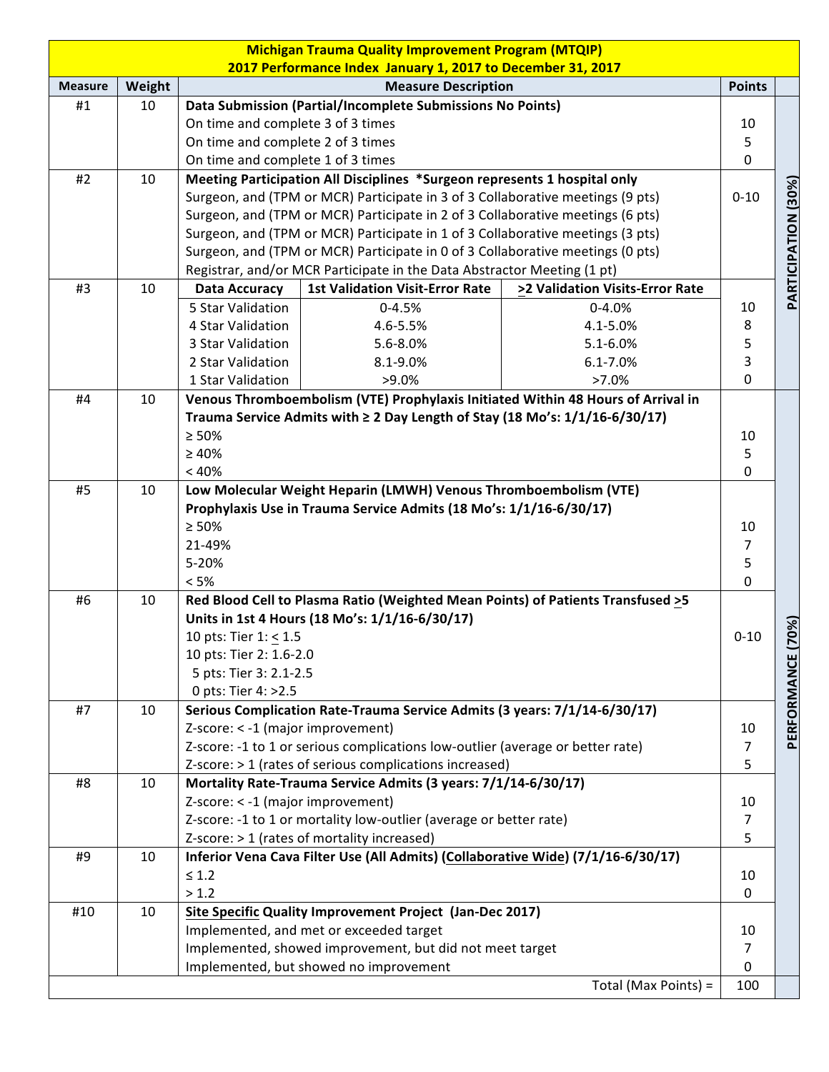|                |        |                                                                                | <b>Michigan Trauma Quality Improvement Program (MTQIP)</b>                            |                                                                                  |                |                                                |  |  |
|----------------|--------|--------------------------------------------------------------------------------|---------------------------------------------------------------------------------------|----------------------------------------------------------------------------------|----------------|------------------------------------------------|--|--|
|                |        |                                                                                | 2017 Performance Index January 1, 2017 to December 31, 2017                           |                                                                                  |                |                                                |  |  |
| <b>Measure</b> | Weight |                                                                                | <b>Measure Description</b>                                                            |                                                                                  | <b>Points</b>  |                                                |  |  |
| #1             | 10     |                                                                                | Data Submission (Partial/Incomplete Submissions No Points)                            |                                                                                  |                |                                                |  |  |
|                |        | On time and complete 3 of 3 times                                              |                                                                                       |                                                                                  | 10             | $\mathbf 0$<br>PARTICIPATION (30%)<br>$0 - 10$ |  |  |
|                |        | On time and complete 2 of 3 times                                              |                                                                                       |                                                                                  | 5              |                                                |  |  |
|                |        | On time and complete 1 of 3 times                                              |                                                                                       |                                                                                  |                |                                                |  |  |
| #2             | 10     | Meeting Participation All Disciplines *Surgeon represents 1 hospital only      |                                                                                       |                                                                                  |                |                                                |  |  |
|                |        | Surgeon, and (TPM or MCR) Participate in 3 of 3 Collaborative meetings (9 pts) |                                                                                       |                                                                                  |                |                                                |  |  |
|                |        |                                                                                | Surgeon, and (TPM or MCR) Participate in 2 of 3 Collaborative meetings (6 pts)        |                                                                                  |                |                                                |  |  |
|                |        | Surgeon, and (TPM or MCR) Participate in 1 of 3 Collaborative meetings (3 pts) |                                                                                       |                                                                                  |                |                                                |  |  |
|                |        | Surgeon, and (TPM or MCR) Participate in 0 of 3 Collaborative meetings (0 pts) |                                                                                       |                                                                                  |                |                                                |  |  |
|                |        | Registrar, and/or MCR Participate in the Data Abstractor Meeting (1 pt)        |                                                                                       |                                                                                  |                |                                                |  |  |
| #3             | 10     | <b>Data Accuracy</b>                                                           | <b>1st Validation Visit-Error Rate</b>                                                | >2 Validation Visits-Error Rate                                                  |                |                                                |  |  |
|                |        | 5 Star Validation                                                              | $0 - 4.5%$                                                                            | $0 - 4.0%$                                                                       | 10             |                                                |  |  |
|                |        | 4 Star Validation                                                              | 4.6-5.5%                                                                              | 4.1-5.0%                                                                         | 8              |                                                |  |  |
|                |        | 3 Star Validation                                                              | 5.6-8.0%                                                                              | 5.1-6.0%                                                                         | 5              |                                                |  |  |
|                |        | 2 Star Validation                                                              | 8.1-9.0%                                                                              | $6.1 - 7.0\%$                                                                    | 3              |                                                |  |  |
|                |        | 1 Star Validation                                                              | $>9.0\%$                                                                              | $>7.0\%$                                                                         | $\mathbf 0$    |                                                |  |  |
| #4             | 10     |                                                                                |                                                                                       | Venous Thromboembolism (VTE) Prophylaxis Initiated Within 48 Hours of Arrival in |                |                                                |  |  |
|                |        |                                                                                | Trauma Service Admits with $\geq 2$ Day Length of Stay (18 Mo's: $1/1/16 - 6/30/17$ ) |                                                                                  |                |                                                |  |  |
|                |        | $\geq 50\%$                                                                    |                                                                                       |                                                                                  | 10             |                                                |  |  |
|                |        | $\geq 40\%$                                                                    |                                                                                       |                                                                                  | 5              |                                                |  |  |
|                |        | < 40%                                                                          |                                                                                       |                                                                                  | $\mathbf 0$    |                                                |  |  |
| #5             | 10     |                                                                                | Low Molecular Weight Heparin (LMWH) Venous Thromboembolism (VTE)                      |                                                                                  |                |                                                |  |  |
|                |        |                                                                                | Prophylaxis Use in Trauma Service Admits (18 Mo's: 1/1/16-6/30/17)                    |                                                                                  |                |                                                |  |  |
|                |        | $\geq 50\%$                                                                    |                                                                                       |                                                                                  | 10             |                                                |  |  |
|                |        | 21-49%                                                                         |                                                                                       |                                                                                  | $\overline{7}$ |                                                |  |  |
|                |        | 5-20%                                                                          |                                                                                       |                                                                                  | 5              |                                                |  |  |
|                |        | < 5%                                                                           |                                                                                       |                                                                                  | $\mathbf 0$    |                                                |  |  |
| #6             | 10     |                                                                                | Red Blood Cell to Plasma Ratio (Weighted Mean Points) of Patients Transfused >5       |                                                                                  |                |                                                |  |  |
|                |        | Units in 1st 4 Hours (18 Mo's: 1/1/16-6/30/17)                                 |                                                                                       |                                                                                  |                |                                                |  |  |
|                |        | 10 pts: Tier 1: < 1.5                                                          |                                                                                       |                                                                                  | $0 - 10$       | 70%)                                           |  |  |
|                |        | 10 pts: Tier 2: 1.6-2.0                                                        |                                                                                       |                                                                                  |                |                                                |  |  |
|                |        | 5 pts: Tier 3: 2.1-2.5                                                         |                                                                                       |                                                                                  |                |                                                |  |  |
|                |        | 0 pts: Tier 4: >2.5                                                            |                                                                                       |                                                                                  |                | PERFORMANCE                                    |  |  |
| #7             | 10     |                                                                                | Serious Complication Rate-Trauma Service Admits (3 years: 7/1/14-6/30/17)             |                                                                                  |                |                                                |  |  |
|                |        | Z-score: < -1 (major improvement)                                              |                                                                                       |                                                                                  | 10             |                                                |  |  |
|                |        |                                                                                | Z-score: -1 to 1 or serious complications low-outlier (average or better rate)        |                                                                                  | $\overline{7}$ |                                                |  |  |
|                |        |                                                                                | Z-score: > 1 (rates of serious complications increased)                               |                                                                                  | 5              |                                                |  |  |
| #8             | 10     |                                                                                | Mortality Rate-Trauma Service Admits (3 years: 7/1/14-6/30/17)                        |                                                                                  |                |                                                |  |  |
|                |        | Z-score: < -1 (major improvement)                                              |                                                                                       |                                                                                  | 10             |                                                |  |  |
|                |        |                                                                                | Z-score: -1 to 1 or mortality low-outlier (average or better rate)                    |                                                                                  | $\overline{7}$ |                                                |  |  |
|                |        |                                                                                | Z-score: > 1 (rates of mortality increased)                                           |                                                                                  | 5              |                                                |  |  |
| #9             | 10     |                                                                                | Inferior Vena Cava Filter Use (All Admits) (Collaborative Wide) (7/1/16-6/30/17)      |                                                                                  |                |                                                |  |  |
|                |        | $\leq 1.2$                                                                     |                                                                                       |                                                                                  | 10             |                                                |  |  |
|                |        | > 1.2                                                                          |                                                                                       |                                                                                  | $\mathbf{0}$   |                                                |  |  |
| #10            | 10     |                                                                                | Site Specific Quality Improvement Project (Jan-Dec 2017)                              |                                                                                  |                |                                                |  |  |
|                |        |                                                                                | Implemented, and met or exceeded target                                               |                                                                                  | 10             |                                                |  |  |
|                |        |                                                                                | Implemented, showed improvement, but did not meet target                              |                                                                                  | $\overline{7}$ |                                                |  |  |
|                |        |                                                                                | Implemented, but showed no improvement                                                |                                                                                  | $\mathbf{0}$   |                                                |  |  |
|                |        |                                                                                |                                                                                       | Total (Max Points) =                                                             | 100            |                                                |  |  |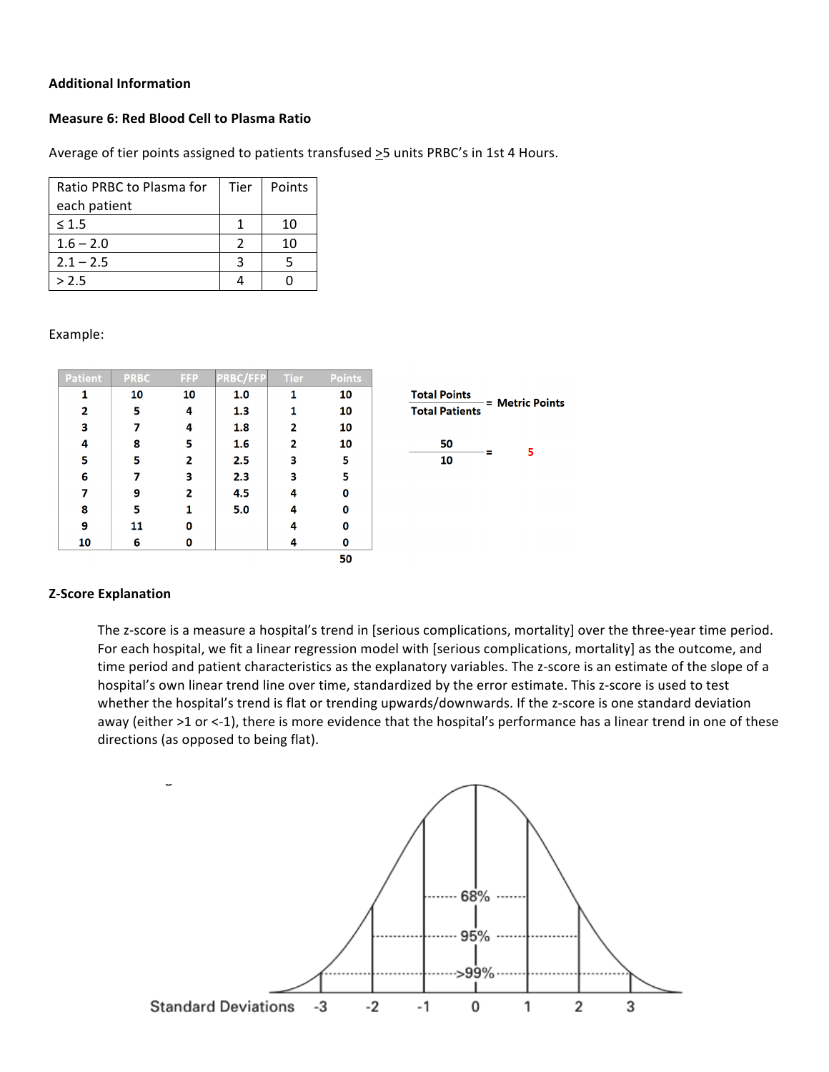# **Additional Information**

## **Measure 6: Red Blood Cell to Plasma Ratio**

Average of tier points assigned to patients transfused >5 units PRBC's in 1st 4 Hours.

| Ratio PRBC to Plasma for | Tier | Points |
|--------------------------|------|--------|
| each patient             |      |        |
| $\leq 1.5$               |      | 10     |
| $1.6 - 2.0$              | 2    | 10     |
| $2.1 - 2.5$              |      |        |
| > 2.5                    |      |        |

#### Example:

| <b>Patient</b> | <b>PRBC</b> | <b>FFP</b> | <b>PRBC/FFP</b> | <b>Tier</b> | <b>Points</b> |
|----------------|-------------|------------|-----------------|-------------|---------------|
| 1              | 10          | 10         | 1.0             | 1           | 10            |
| 2              | 5           | 4          | 1.3             | 1           | 10            |
| 3              | 7           | 4          | 1.8             | 2           | 10            |
| 4              | 8           | 5          | 1.6             | 2           | 10            |
| 5              | 5           | 2          | 2.5             | 3           | 5             |
| 6              | 7           | 3          | 2.3             | 3           | 5             |
| 7              | 9           | 2          | 4.5             | 4           | 0             |
| 8              | 5           | 1          | 5.0             | 4           | 0             |
| 9              | 11          | 0          |                 | 4           | 0             |
| 10             | 6           | 0          |                 | 4           | 0             |
|                |             |            |                 |             | 50            |



# **Z-Score Explanation**

The z-score is a measure a hospital's trend in [serious complications, mortality] over the three-year time period. For each hospital, we fit a linear regression model with [serious complications, mortality] as the outcome, and time period and patient characteristics as the explanatory variables. The z-score is an estimate of the slope of a hospital's own linear trend line over time, standardized by the error estimate. This z-score is used to test whether the hospital's trend is flat or trending upwards/downwards. If the z-score is one standard deviation away (either >1 or <-1), there is more evidence that the hospital's performance has a linear trend in one of these directions (as opposed to being flat).

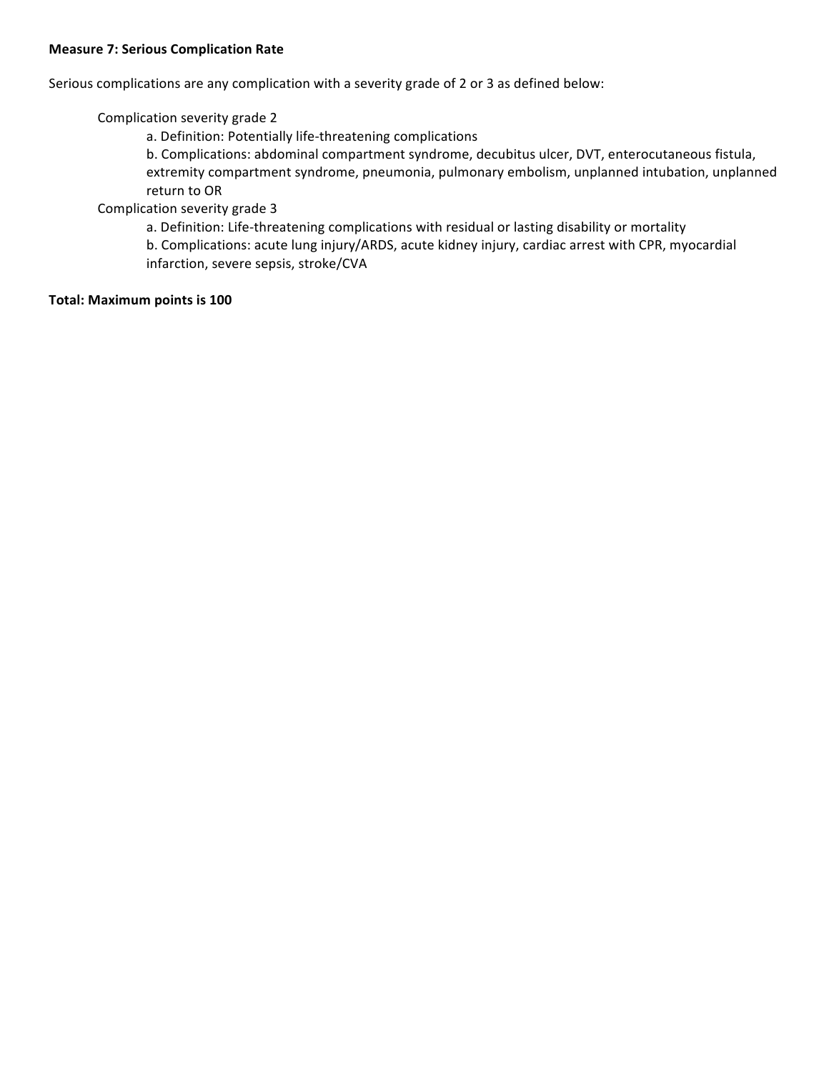## **Measure 7: Serious Complication Rate**

Serious complications are any complication with a severity grade of 2 or 3 as defined below:

Complication severity grade 2

a. Definition: Potentially life-threatening complications

b. Complications: abdominal compartment syndrome, decubitus ulcer, DVT, enterocutaneous fistula, extremity compartment syndrome, pneumonia, pulmonary embolism, unplanned intubation, unplanned return to OR

Complication severity grade 3

a. Definition: Life-threatening complications with residual or lasting disability or mortality b. Complications: acute lung injury/ARDS, acute kidney injury, cardiac arrest with CPR, myocardial infarction, severe sepsis, stroke/CVA

### **Total: Maximum points is 100**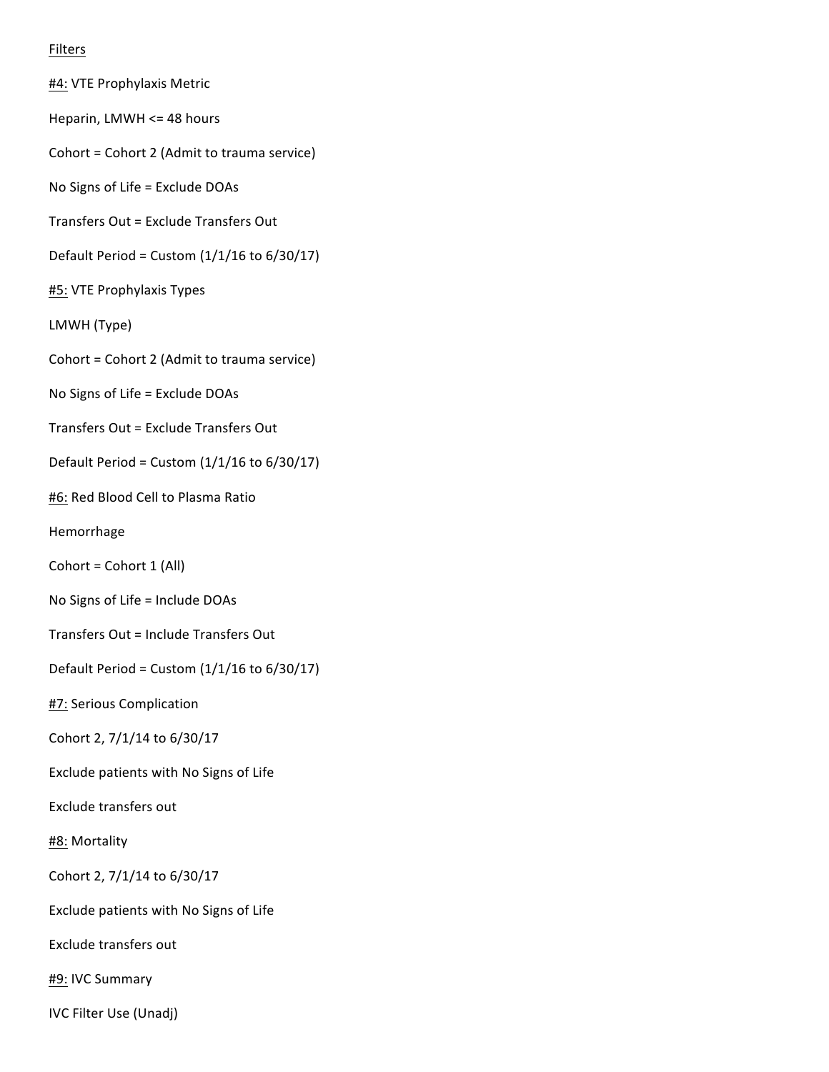# Filters

#4: VTE Prophylaxis Metric Heparin, LMWH <= 48 hours Cohort = Cohort 2 (Admit to trauma service) No Signs of Life = Exclude DOAs Transfers Out = Exclude Transfers Out Default Period = Custom  $(1/1/16$  to  $6/30/17)$ #5: VTE Prophylaxis Types LMWH (Type) Cohort = Cohort 2 (Admit to trauma service) No Signs of Life = Exclude DOAs Transfers Out = Exclude Transfers Out Default Period = Custom  $(1/1/16$  to  $6/30/17)$ #6: Red Blood Cell to Plasma Ratio Hemorrhage  $Cohort = Cohort 1 (All)$ No Signs of Life = Include DOAs Transfers Out = Include Transfers Out Default Period = Custom  $(1/1/16$  to  $6/30/17)$ **#7: Serious Complication** Cohort 2, 7/1/14 to 6/30/17 Exclude patients with No Signs of Life Exclude transfers out #8: Mortality Cohort 2, 7/1/14 to 6/30/17 Exclude patients with No Signs of Life Exclude transfers out #9: IVC Summary

IVC Filter Use (Unadj)